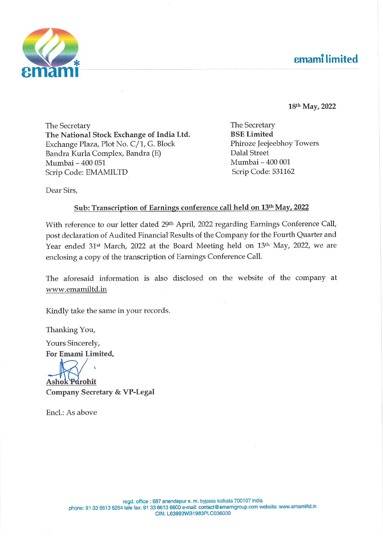# **emamilimited**



18th May, 2022

The Secretary The National Stock Exchange of India Ltd. Exchange Plaza, Plot No. C/1, G. Block Bandra Kurla Complex, Bandra (E) Mumbai - 400 051 Scrip Code: EMAMILTD

The Secretary **BSE Limited** Phiroze Jeejeebhoy Towers **Dalal Street** Mumbai - 400 001 Scrip Code: 531162

Dear Sirs,

# Sub: Transcription of Earnings conference call held on 13th May, 2022

With reference to our letter dated 29th April, 2022 regarding Earnings Conference Call, post declaration of Audited Financial Results of the Company for the Fourth Quarter and Year ended 31<sup>st</sup> March, 2022 at the Board Meeting held on 13<sup>th</sup> May, 2022, we are enclosing a copy of the transcription of Earnings Conference Call.

The aforesaid information is also disclosed on the website of the company at www.emamiltd.in

Kindly take the same in your records.

Thanking You,

Yours Sincerely, For Emami Limited,

Ashok Parohit Company Secretary & VP-Legal

Encl.: As above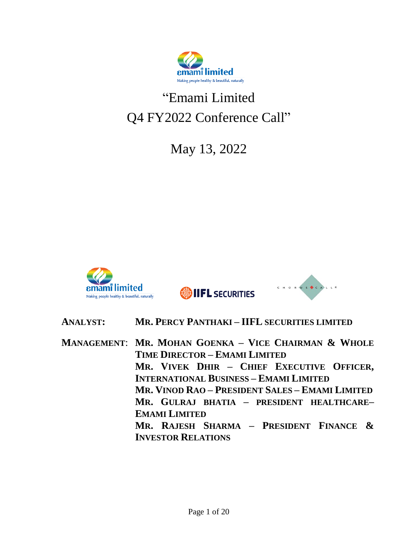

# "Emami Limited Q4 FY2022 Conference Call"

May 13, 2022



**SOLIFL SECURITIES** 



# **ANALYST: MR. PERCY PANTHAKI – IIFL SECURITIES LIMITED**

**MANAGEMENT**: **MR. MOHAN GOENKA – VICE CHAIRMAN & WHOLE TIME DIRECTOR – EMAMI LIMITED MR. VIVEK DHIR – CHIEF EXECUTIVE OFFICER, INTERNATIONAL BUSINESS – EMAMI LIMITED MR. VINOD RAO – PRESIDENT SALES – EMAMI LIMITED MR. GULRAJ BHATIA – PRESIDENT HEALTHCARE– EMAMI LIMITED MR. RAJESH SHARMA – PRESIDENT FINANCE & INVESTOR RELATIONS**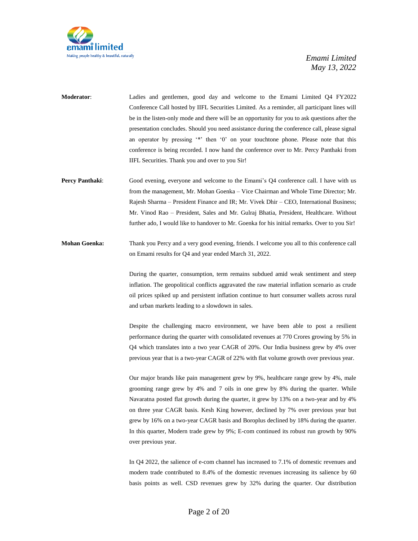

- **Moderator**: Ladies and gentlemen, good day and welcome to the Emami Limited Q4 FY2022 Conference Call hosted by IIFL Securities Limited. As a reminder, all participant lines will be in the listen-only mode and there will be an opportunity for you to ask questions after the presentation concludes. Should you need assistance during the conference call, please signal an operator by pressing '\*' then '0' on your touchtone phone. Please note that this conference is being recorded. I now hand the conference over to Mr. Percy Panthaki from IIFL Securities. Thank you and over to you Sir!
- **Percy Panthaki:** Good evening, everyone and welcome to the Emami's Q4 conference call. I have with us from the management, Mr. Mohan Goenka – Vice Chairman and Whole Time Director; Mr. Rajesh Sharma – President Finance and IR; Mr. Vivek Dhir – CEO, International Business; Mr. Vinod Rao – President, Sales and Mr. Gulraj Bhatia, President, Healthcare. Without further ado, I would like to handover to Mr. Goenka for his initial remarks. Over to you Sir!
- **Mohan Goenka:** Thank you Percy and a very good evening, friends. I welcome you all to this conference call on Emami results for Q4 and year ended March 31, 2022.

During the quarter, consumption, term remains subdued amid weak sentiment and steep inflation. The geopolitical conflicts aggravated the raw material inflation scenario as crude oil prices spiked up and persistent inflation continue to hurt consumer wallets across rural and urban markets leading to a slowdown in sales.

Despite the challenging macro environment, we have been able to post a resilient performance during the quarter with consolidated revenues at 770 Crores growing by 5% in Q4 which translates into a two year CAGR of 20%. Our India business grew by 4% over previous year that is a two-year CAGR of 22% with flat volume growth over previous year.

Our major brands like pain management grew by 9%, healthcare range grew by 4%, male grooming range grew by 4% and 7 oils in one grew by 8% during the quarter. While Navaratna posted flat growth during the quarter, it grew by 13% on a two-year and by 4% on three year CAGR basis. Kesh King however, declined by 7% over previous year but grew by 16% on a two-year CAGR basis and Boroplus declined by 18% during the quarter. In this quarter, Modern trade grew by 9%; E-com continued its robust run growth by 90% over previous year.

In Q4 2022, the salience of e-com channel has increased to 7.1% of domestic revenues and modern trade contributed to 8.4% of the domestic revenues increasing its salience by 60 basis points as well. CSD revenues grew by 32% during the quarter. Our distribution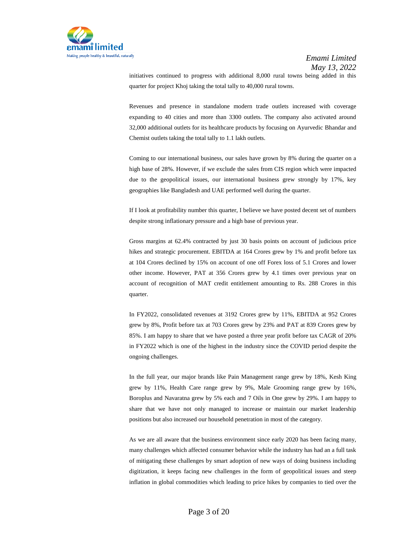

initiatives continued to progress with additional 8,000 rural towns being added in this quarter for project Khoj taking the total tally to 40,000 rural towns.

Revenues and presence in standalone modern trade outlets increased with coverage expanding to 40 cities and more than 3300 outlets. The company also activated around 32,000 additional outlets for its healthcare products by focusing on Ayurvedic Bhandar and Chemist outlets taking the total tally to 1.1 lakh outlets.

Coming to our international business, our sales have grown by 8% during the quarter on a high base of 28%. However, if we exclude the sales from CIS region which were impacted due to the geopolitical issues, our international business grew strongly by 17%, key geographies like Bangladesh and UAE performed well during the quarter.

If I look at profitability number this quarter, I believe we have posted decent set of numbers despite strong inflationary pressure and a high base of previous year.

Gross margins at 62.4% contracted by just 30 basis points on account of judicious price hikes and strategic procurement. EBITDA at 164 Crores grew by 1% and profit before tax at 104 Crores declined by 15% on account of one off Forex loss of 5.1 Crores and lower other income. However, PAT at 356 Crores grew by 4.1 times over previous year on account of recognition of MAT credit entitlement amounting to Rs. 288 Crores in this quarter.

In FY2022, consolidated revenues at 3192 Crores grew by 11%, EBITDA at 952 Crores grew by 8%, Profit before tax at 703 Crores grew by 23% and PAT at 839 Crores grew by 85%. I am happy to share that we have posted a three year profit before tax CAGR of 20% in FY2022 which is one of the highest in the industry since the COVID period despite the ongoing challenges.

In the full year, our major brands like Pain Management range grew by 18%, Kesh King grew by 11%, Health Care range grew by 9%, Male Grooming range grew by 16%, Boroplus and Navaratna grew by 5% each and 7 Oils in One grew by 29%. I am happy to share that we have not only managed to increase or maintain our market leadership positions but also increased our household penetration in most of the category.

As we are all aware that the business environment since early 2020 has been facing many, many challenges which affected consumer behavior while the industry has had an a full task of mitigating these challenges by smart adoption of new ways of doing business including digitization, it keeps facing new challenges in the form of geopolitical issues and steep inflation in global commodities which leading to price hikes by companies to tied over the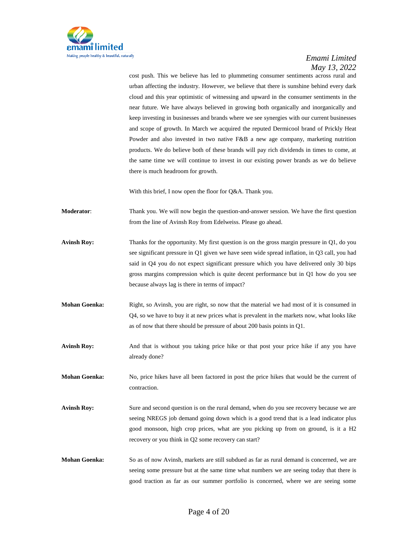

cost push. This we believe has led to plummeting consumer sentiments across rural and urban affecting the industry. However, we believe that there is sunshine behind every dark cloud and this year optimistic of witnessing and upward in the consumer sentiments in the near future. We have always believed in growing both organically and inorganically and keep investing in businesses and brands where we see synergies with our current businesses and scope of growth. In March we acquired the reputed Dermicool brand of Prickly Heat Powder and also invested in two native F&B a new age company, marketing nutrition products. We do believe both of these brands will pay rich dividends in times to come, at the same time we will continue to invest in our existing power brands as we do believe there is much headroom for growth.

With this brief, I now open the floor for Q&A. Thank you.

**Moderator:** Thank you. We will now begin the question-and-answer session. We have the first question from the line of Avinsh Roy from Edelweiss. Please go ahead.

- **Avinsh Roy:** Thanks for the opportunity. My first question is on the gross margin pressure in Q1, do you see significant pressure in Q1 given we have seen wide spread inflation, in Q3 call, you had said in Q4 you do not expect significant pressure which you have delivered only 30 bips gross margins compression which is quite decent performance but in Q1 how do you see because always lag is there in terms of impact?
- **Mohan Goenka:** Right, so Avinsh, you are right, so now that the material we had most of it is consumed in Q4, so we have to buy it at new prices what is prevalent in the markets now, what looks like as of now that there should be pressure of about 200 basis points in Q1.
- Avinsh Roy: And that is without you taking price hike or that post your price hike if any you have already done?

**Mohan Goenka:** No, price hikes have all been factored in post the price hikes that would be the current of contraction.

- Avinsh Roy: Sure and second question is on the rural demand, when do you see recovery because we are seeing NREGS job demand going down which is a good trend that is a lead indicator plus good monsoon, high crop prices, what are you picking up from on ground, is it a H2 recovery or you think in Q2 some recovery can start?
- **Mohan Goenka:** So as of now Avinsh, markets are still subdued as far as rural demand is concerned, we are seeing some pressure but at the same time what numbers we are seeing today that there is good traction as far as our summer portfolio is concerned, where we are seeing some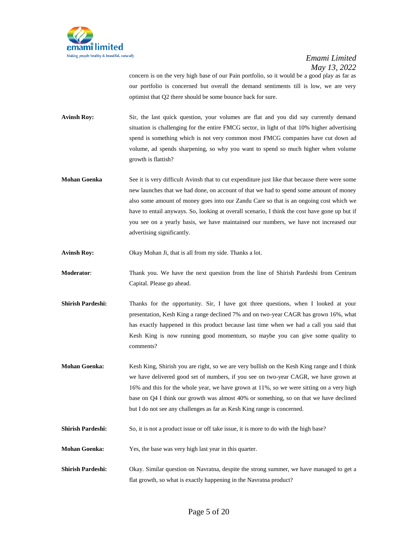

concern is on the very high base of our Pain portfolio, so it would be a good play as far as our portfolio is concerned but overall the demand sentiments till is low, we are very optimist that Q2 there should be some bounce back for sure.

Avinsh Roy: Sir, the last quick question, your volumes are flat and you did say currently demand situation is challenging for the entire FMCG sector, in light of that 10% higher advertising spend is something which is not very common most FMCG companies have cut down ad volume, ad spends sharpening, so why you want to spend so much higher when volume growth is flattish?

**Mohan Goenka** See it is very difficult Avinsh that to cut expenditure just like that because there were some new launches that we had done, on account of that we had to spend some amount of money also some amount of money goes into our Zandu Care so that is an ongoing cost which we have to entail anyways. So, looking at overall scenario, I think the cost have gone up but if you see on a yearly basis, we have maintained our numbers, we have not increased our advertising significantly.

**Avinsh Roy:** Okay Mohan Ji, that is all from my side. Thanks a lot.

**Moderator**: Thank you. We have the next question from the line of Shirish Pardeshi from Centrum Capital. Please go ahead.

- Shirish Pardeshi: Thanks for the opportunity. Sir, I have got three questions, when I looked at your presentation, Kesh King a range declined 7% and on two-year CAGR has grown 16%, what has exactly happened in this product because last time when we had a call you said that Kesh King is now running good momentum, so maybe you can give some quality to comments?
- **Mohan Goenka:** Kesh King, Shirish you are right, so we are very bullish on the Kesh King range and I think we have delivered good set of numbers, if you see on two-year CAGR, we have grown at 16% and this for the whole year, we have grown at 11%, so we were sitting on a very high base on Q4 I think our growth was almost 40% or something, so on that we have declined but I do not see any challenges as far as Kesh King range is concerned.
- **Shirish Pardeshi:** So, it is not a product issue or off take issue, it is more to do with the high base?
- **Mohan Goenka:** Yes, the base was very high last year in this quarter.
- **Shirish Pardeshi:** Okay. Similar question on Navratna, despite the strong summer, we have managed to get a flat growth, so what is exactly happening in the Navratna product?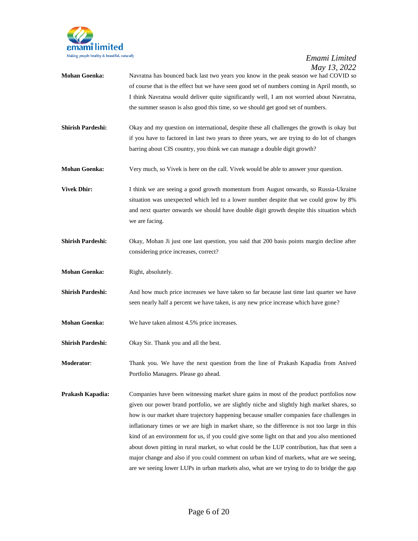

- **Mohan Goenka:** Navratna has bounced back last two years you know in the peak season we had COVID so of course that is the effect but we have seen good set of numbers coming in April month, so I think Navratna would deliver quite significantly well, I am not worried about Navratna, the summer season is also good this time, so we should get good set of numbers.
- **Shirish Pardeshi:** Okay and my question on international, despite these all challenges the growth is okay but if you have to factored in last two years to three years, we are trying to do lot of changes barring about CIS country, you think we can manage a double digit growth?
- **Mohan Goenka:** Very much, so Vivek is here on the call. Vivek would be able to answer your question.
- **Vivek Dhir:** I think we are seeing a good growth momentum from August onwards, so Russia-Ukraine situation was unexpected which led to a lower number despite that we could grow by 8% and next quarter onwards we should have double digit growth despite this situation which we are facing.
- **Shirish Pardeshi:** Okay, Mohan Ji just one last question, you said that 200 basis points margin decline after considering price increases, correct?
- **Mohan Goenka:** Right, absolutely.
- **Shirish Pardeshi:** And how much price increases we have taken so far because last time last quarter we have seen nearly half a percent we have taken, is any new price increase which have gone?
- **Mohan Goenka:** We have taken almost 4.5% price increases.
- **Shirish Pardeshi:** Okay Sir. Thank you and all the best.

**Moderator**: Thank you. We have the next question from the line of Prakash Kapadia from Anived Portfolio Managers. Please go ahead.

**Prakash Kapadia:** Companies have been witnessing market share gains in most of the product portfolios now given our power brand portfolio, we are slightly niche and slightly high market shares, so how is our market share trajectory happening because smaller companies face challenges in inflationary times or we are high in market share, so the difference is not too large in this kind of an environment for us, if you could give some light on that and you also mentioned about down pitting in rural market, so what could be the LUP contribution, has that seen a major change and also if you could comment on urban kind of markets, what are we seeing, are we seeing lower LUPs in urban markets also, what are we trying to do to bridge the gap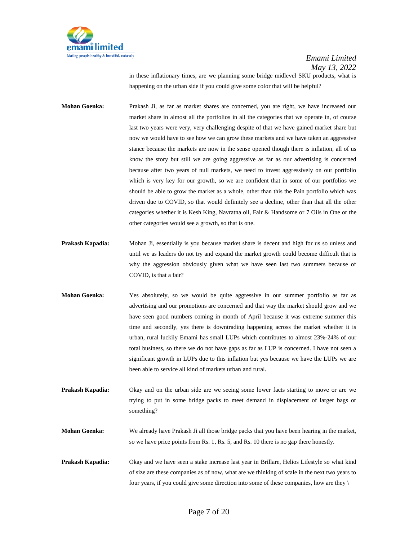

in these inflationary times, are we planning some bridge midlevel SKU products, what is happening on the urban side if you could give some color that will be helpful?

**Mohan Goenka:** Prakash Ji, as far as market shares are concerned, you are right, we have increased our market share in almost all the portfolios in all the categories that we operate in, of course last two years were very, very challenging despite of that we have gained market share but now we would have to see how we can grow these markets and we have taken an aggressive stance because the markets are now in the sense opened though there is inflation, all of us know the story but still we are going aggressive as far as our advertising is concerned because after two years of null markets, we need to invest aggressively on our portfolio which is very key for our growth, so we are confident that in some of our portfolios we should be able to grow the market as a whole, other than this the Pain portfolio which was driven due to COVID, so that would definitely see a decline, other than that all the other categories whether it is Kesh King, Navratna oil, Fair & Handsome or 7 Oils in One or the other categories would see a growth, so that is one.

- **Prakash Kapadia:** Mohan Ji, essentially is you because market share is decent and high for us so unless and until we as leaders do not try and expand the market growth could become difficult that is why the aggression obviously given what we have seen last two summers because of COVID, is that a fair?
- **Mohan Goenka:** Yes absolutely, so we would be quite aggressive in our summer portfolio as far as advertising and our promotions are concerned and that way the market should grow and we have seen good numbers coming in month of April because it was extreme summer this time and secondly, yes there is downtrading happening across the market whether it is urban, rural luckily Emami has small LUPs which contributes to almost 23%-24% of our total business, so there we do not have gaps as far as LUP is concerned. I have not seen a significant growth in LUPs due to this inflation but yes because we have the LUPs we are been able to service all kind of markets urban and rural.
- **Prakash Kapadia:** Okay and on the urban side are we seeing some lower facts starting to move or are we trying to put in some bridge packs to meet demand in displacement of larger bags or something?

**Mohan Goenka:** We already have Prakash Ji all those bridge packs that you have been hearing in the market, so we have price points from Rs. 1, Rs. 5, and Rs. 10 there is no gap there honestly.

**Prakash Kapadia:** Okay and we have seen a stake increase last year in Brillare, Helios Lifestyle so what kind of size are these companies as of now, what are we thinking of scale in the next two years to four years, if you could give some direction into some of these companies, how are they  $\setminus$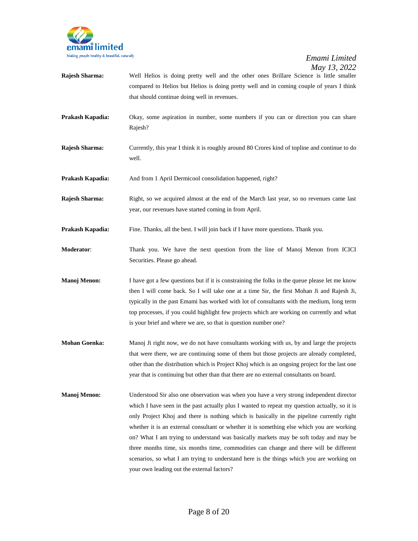

- **Rajesh Sharma:** Well Helios is doing pretty well and the other ones Brillare Science is little smaller compared to Helios but Helios is doing pretty well and in coming couple of years I think that should continue doing well in revenues.
- **Prakash Kapadia:** Okay, some aspiration in number, some numbers if you can or direction you can share Rajesh?
- **Rajesh Sharma:** Currently, this year I think it is roughly around 80 Crores kind of topline and continue to do well.
- Prakash Kapadia: And from 1 April Dermicool consolidation happened, right?
- **Rajesh Sharma:** Right, so we acquired almost at the end of the March last year, so no revenues came last year, our revenues have started coming in from April.
- **Prakash Kapadia:** Fine. Thanks, all the best. I will join back if I have more questions. Thank you.
- **Moderator**: Thank you. We have the next question from the line of Manoj Menon from ICICI Securities. Please go ahead.
- **Manoj Menon:** I have got a few questions but if it is constraining the folks in the queue please let me know then I will come back. So I will take one at a time Sir, the first Mohan Ji and Rajesh Ji, typically in the past Emami has worked with lot of consultants with the medium, long term top processes, if you could highlight few projects which are working on currently and what is your brief and where we are, so that is question number one?
- **Mohan Goenka:** Manoj Ji right now, we do not have consultants working with us, by and large the projects that were there, we are continuing some of them but those projects are already completed, other than the distribution which is Project Khoj which is an ongoing project for the last one year that is continuing but other than that there are no external consultants on board.
- **Manoj Menon:** Understood Sir also one observation was when you have a very strong independent director which I have seen in the past actually plus I wanted to repeat my question actually, so it is only Project Khoj and there is nothing which is basically in the pipeline currently right whether it is an external consultant or whether it is something else which you are working on? What I am trying to understand was basically markets may be soft today and may be three months time, six months time, commodities can change and there will be different scenarios, so what I am trying to understand here is the things which you are working on your own leading out the external factors?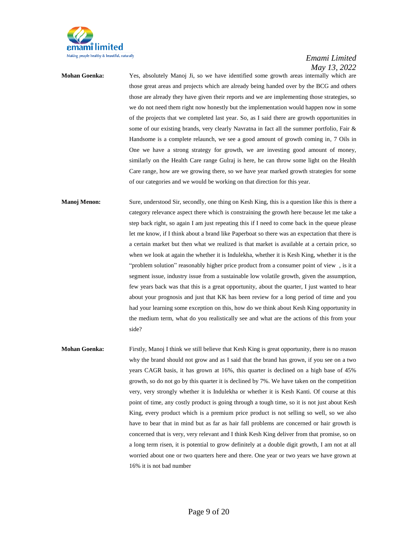

**Mohan Goenka:** Yes, absolutely Manoj Ji, so we have identified some growth areas internally which are those great areas and projects which are already being handed over by the BCG and others those are already they have given their reports and we are implementing those strategies, so we do not need them right now honestly but the implementation would happen now in some of the projects that we completed last year. So, as I said there are growth opportunities in some of our existing brands, very clearly Navratna in fact all the summer portfolio, Fair & Handsome is a complete relaunch, we see a good amount of growth coming in, 7 Oils in One we have a strong strategy for growth, we are investing good amount of money, similarly on the Health Care range Gulraj is here, he can throw some light on the Health Care range, how are we growing there, so we have year marked growth strategies for some of our categories and we would be working on that direction for this year.

**Manoj Menon:** Sure, understood Sir, secondly, one thing on Kesh King, this is a question like this is there a category relevance aspect there which is constraining the growth here because let me take a step back right, so again I am just repeating this if I need to come back in the queue please let me know, if I think about a brand like Paperboat so there was an expectation that there is a certain market but then what we realized is that market is available at a certain price, so when we look at again the whether it is Indulekha, whether it is Kesh King, whether it is the "problem solution" reasonably higher price product from a consumer point of view , is it a segment issue, industry issue from a sustainable low volatile growth, given the assumption, few years back was that this is a great opportunity, about the quarter, I just wanted to hear about your prognosis and just that KK has been review for a long period of time and you had your learning some exception on this, how do we think about Kesh King opportunity in the medium term, what do you realistically see and what are the actions of this from your side?

**Mohan Goenka:** Firstly, Manoj I think we still believe that Kesh King is great opportunity, there is no reason why the brand should not grow and as I said that the brand has grown, if you see on a two years CAGR basis, it has grown at 16%, this quarter is declined on a high base of 45% growth, so do not go by this quarter it is declined by 7%. We have taken on the competition very, very strongly whether it is Indulekha or whether it is Kesh Kanti. Of course at this point of time, any costly product is going through a tough time, so it is not just about Kesh King, every product which is a premium price product is not selling so well, so we also have to bear that in mind but as far as hair fall problems are concerned or hair growth is concerned that is very, very relevant and I think Kesh King deliver from that promise, so on a long term risen, it is potential to grow definitely at a double digit growth, I am not at all worried about one or two quarters here and there. One year or two years we have grown at 16% it is not bad number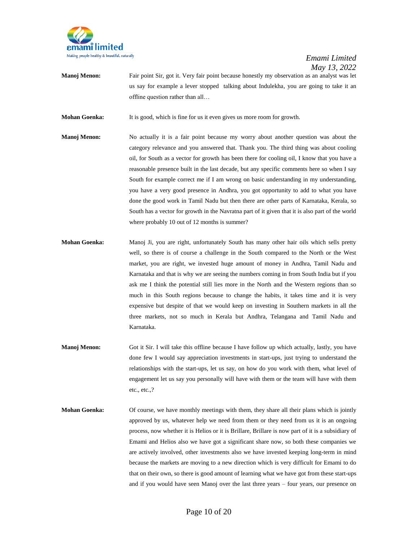

**Manoj Menon:** Fair point Sir, got it. Very fair point because honestly my observation as an analyst was let us say for example a lever stopped talking about Indulekha, you are going to take it an offline question rather than all…

**Mohan Goenka:** It is good, which is fine for us it even gives us more room for growth.

- **Manoj Menon:** No actually it is a fair point because my worry about another question was about the category relevance and you answered that. Thank you. The third thing was about cooling oil, for South as a vector for growth has been there for cooling oil, I know that you have a reasonable presence built in the last decade, but any specific comments here so when I say South for example correct me if I am wrong on basic understanding in my understanding, you have a very good presence in Andhra, you got opportunity to add to what you have done the good work in Tamil Nadu but then there are other parts of Karnataka, Kerala, so South has a vector for growth in the Navratna part of it given that it is also part of the world where probably 10 out of 12 months is summer?
- **Mohan Goenka:** Manoj Ji, you are right, unfortunately South has many other hair oils which sells pretty well, so there is of course a challenge in the South compared to the North or the West market, you are right, we invested huge amount of money in Andhra, Tamil Nadu and Karnataka and that is why we are seeing the numbers coming in from South India but if you ask me I think the potential still lies more in the North and the Western regions than so much in this South regions because to change the habits, it takes time and it is very expensive but despite of that we would keep on investing in Southern markets in all the three markets, not so much in Kerala but Andhra, Telangana and Tamil Nadu and Karnataka.
- **Manoj Menon:** Got it Sir. I will take this offline because I have follow up which actually, lastly, you have done few I would say appreciation investments in start-ups, just trying to understand the relationships with the start-ups, let us say, on how do you work with them, what level of engagement let us say you personally will have with them or the team will have with them etc., etc.,?
- **Mohan Goenka:** Of course, we have monthly meetings with them, they share all their plans which is jointly approved by us, whatever help we need from them or they need from us it is an ongoing process, now whether it is Helios or it is Brillare, Brillare is now part of it is a subsidiary of Emami and Helios also we have got a significant share now, so both these companies we are actively involved, other investments also we have invested keeping long-term in mind because the markets are moving to a new direction which is very difficult for Emami to do that on their own, so there is good amount of learning what we have got from these start-ups and if you would have seen Manoj over the last three years – four years, our presence on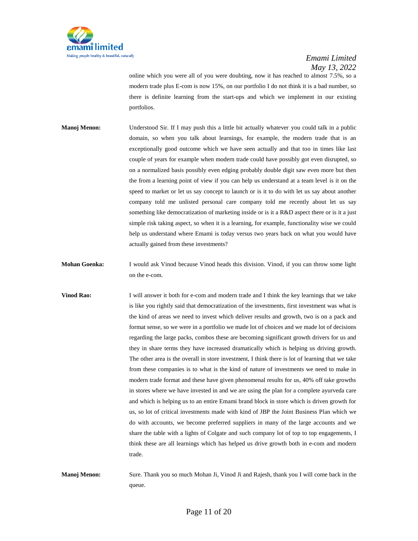

online which you were all of you were doubting, now it has reached to almost 7.5%, so a modern trade plus E-com is now 15%, on our portfolio I do not think it is a bad number, so there is definite learning from the start-ups and which we implement in our existing portfolios.

- **Manoj Menon:** Understood Sir. If I may push this a little bit actually whatever you could talk in a public domain, so when you talk about learnings, for example, the modern trade that is an exceptionally good outcome which we have seen actually and that too in times like last couple of years for example when modern trade could have possibly got even disrupted, so on a normalized basis possibly even edging probably double digit saw even more but then the from a learning point of view if you can help us understand at a team level is it on the speed to market or let us say concept to launch or is it to do with let us say about another company told me unlisted personal care company told me recently about let us say something like democratization of marketing inside or is it a R&D aspect there or is it a just simple risk taking aspect, so when it is a learning, for example, functionality wise we could help us understand where Emami is today versus two years back on what you would have actually gained from these investments?
- **Mohan Goenka:** I would ask Vinod because Vinod heads this division. Vinod, if you can throw some light on the e-com.
- **Vinod Rao:** I will answer it both for e-com and modern trade and I think the key learnings that we take is like you rightly said that democratization of the investments, first investment was what is the kind of areas we need to invest which deliver results and growth, two is on a pack and format sense, so we were in a portfolio we made lot of choices and we made lot of decisions regarding the large packs, combos these are becoming significant growth drivers for us and they in share terms they have increased dramatically which is helping us driving growth. The other area is the overall in store investment, I think there is lot of learning that we take from these companies is to what is the kind of nature of investments we need to make in modern trade format and these have given phenomenal results for us, 40% off take growths in stores where we have invested in and we are using the plan for a complete ayurveda care and which is helping us to an entire Emami brand block in store which is driven growth for us, so lot of critical investments made with kind of JBP the Joint Business Plan which we do with accounts, we become preferred suppliers in many of the large accounts and we share the table with a lights of Colgate and such company lot of top to top engagements, I think these are all learnings which has helped us drive growth both in e-com and modern trade.
- **Manoj Menon:** Sure. Thank you so much Mohan Ji, Vinod Ji and Rajesh, thank you I will come back in the queue.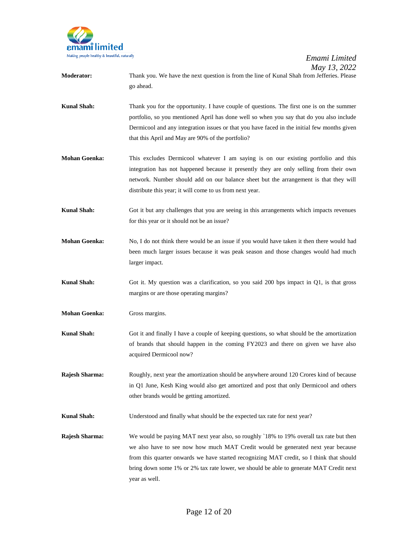

- **Moderator:** Thank you. We have the next question is from the line of Kunal Shah from Jefferies. Please go ahead.
- **Kunal Shah:** Thank you for the opportunity. I have couple of questions. The first one is on the summer portfolio, so you mentioned April has done well so when you say that do you also include Dermicool and any integration issues or that you have faced in the initial few months given that this April and May are 90% of the portfolio?
- **Mohan Goenka:** This excludes Dermicool whatever I am saying is on our existing portfolio and this integration has not happened because it presently they are only selling from their own network. Number should add on our balance sheet but the arrangement is that they will distribute this year; it will come to us from next year.
- **Kunal Shah:** Got it but any challenges that you are seeing in this arrangements which impacts revenues for this year or it should not be an issue?
- **Mohan Goenka:** No, I do not think there would be an issue if you would have taken it then there would had been much larger issues because it was peak season and those changes would had much larger impact.
- **Kunal Shah:** Got it. My question was a clarification, so you said 200 bps impact in Q1, is that gross margins or are those operating margins?
- **Mohan Goenka:** Gross margins.
- **Kunal Shah:** Got it and finally I have a couple of keeping questions, so what should be the amortization of brands that should happen in the coming FY2023 and there on given we have also acquired Dermicool now?
- **Rajesh Sharma:** Roughly, next year the amortization should be anywhere around 120 Crores kind of because in Q1 June, Kesh King would also get amortized and post that only Dermicool and others other brands would be getting amortized.
- **Kunal Shah:** Understood and finally what should be the expected tax rate for next year?
- **Rajesh Sharma:** We would be paying MAT next year also, so roughly `18% to 19% overall tax rate but then we also have to see now how much MAT Credit would be generated next year because from this quarter onwards we have started recognizing MAT credit, so I think that should bring down some 1% or 2% tax rate lower, we should be able to generate MAT Credit next year as well.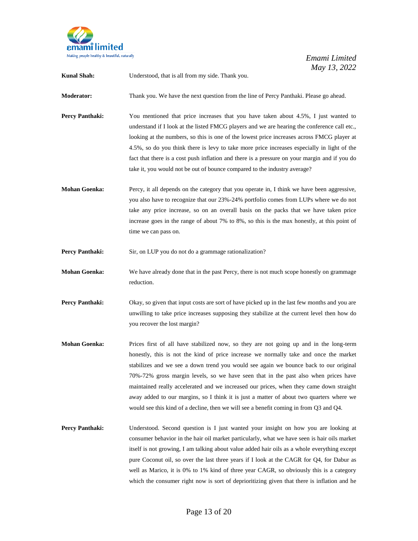

**Kunal Shah:** Understood, that is all from my side. Thank you.

**Moderator:** Thank you. We have the next question from the line of Percy Panthaki. Please go ahead.

- **Percy Panthaki:** You mentioned that price increases that you have taken about 4.5%, I just wanted to understand if I look at the listed FMCG players and we are hearing the conference call etc., looking at the numbers, so this is one of the lowest price increases across FMCG player at 4.5%, so do you think there is levy to take more price increases especially in light of the fact that there is a cost push inflation and there is a pressure on your margin and if you do take it, you would not be out of bounce compared to the industry average?
- **Mohan Goenka:** Percy, it all depends on the category that you operate in, I think we have been aggressive, you also have to recognize that our 23%-24% portfolio comes from LUPs where we do not take any price increase, so on an overall basis on the packs that we have taken price increase goes in the range of about 7% to 8%, so this is the max honestly, at this point of time we can pass on.
- **Percy Panthaki:** Sir, on LUP you do not do a grammage rationalization?
- **Mohan Goenka:** We have already done that in the past Percy, there is not much scope honestly on grammage reduction.
- **Percy Panthaki:** Okay, so given that input costs are sort of have picked up in the last few months and you are unwilling to take price increases supposing they stabilize at the current level then how do you recover the lost margin?
- **Mohan Goenka:** Prices first of all have stabilized now, so they are not going up and in the long-term honestly, this is not the kind of price increase we normally take and once the market stabilizes and we see a down trend you would see again we bounce back to our original 70%-72% gross margin levels, so we have seen that in the past also when prices have maintained really accelerated and we increased our prices, when they came down straight away added to our margins, so I think it is just a matter of about two quarters where we would see this kind of a decline, then we will see a benefit coming in from Q3 and Q4.
- **Percy Panthaki:** Understood. Second question is I just wanted your insight on how you are looking at consumer behavior in the hair oil market particularly, what we have seen is hair oils market itself is not growing, I am talking about value added hair oils as a whole everything except pure Coconut oil, so over the last three years if I look at the CAGR for Q4, for Dabur as well as Marico, it is 0% to 1% kind of three year CAGR, so obviously this is a category which the consumer right now is sort of deprioritizing given that there is inflation and he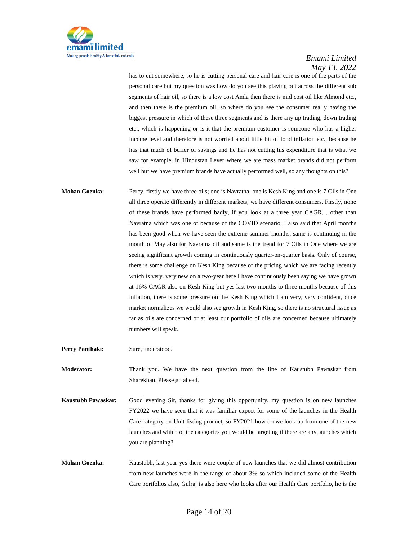

has to cut somewhere, so he is cutting personal care and hair care is one of the parts of the personal care but my question was how do you see this playing out across the different sub segments of hair oil, so there is a low cost Amla then there is mid cost oil like Almond etc., and then there is the premium oil, so where do you see the consumer really having the biggest pressure in which of these three segments and is there any up trading, down trading etc., which is happening or is it that the premium customer is someone who has a higher income level and therefore is not worried about little bit of food inflation etc., because he has that much of buffer of savings and he has not cutting his expenditure that is what we saw for example, in Hindustan Lever where we are mass market brands did not perform well but we have premium brands have actually performed well, so any thoughts on this?

**Mohan Goenka:** Percy, firstly we have three oils; one is Navratna, one is Kesh King and one is 7 Oils in One all three operate differently in different markets, we have different consumers. Firstly, none of these brands have performed badly, if you look at a three year CAGR, , other than Navratna which was one of because of the COVID scenario, I also said that April months has been good when we have seen the extreme summer months, same is continuing in the month of May also for Navratna oil and same is the trend for 7 Oils in One where we are seeing significant growth coming in continuously quarter-on-quarter basis. Only of course, there is some challenge on Kesh King because of the pricing which we are facing recently which is very, very new on a two-year here I have continuously been saying we have grown at 16% CAGR also on Kesh King but yes last two months to three months because of this inflation, there is some pressure on the Kesh King which I am very, very confident, once market normalizes we would also see growth in Kesh King, so there is no structural issue as far as oils are concerned or at least our portfolio of oils are concerned because ultimately numbers will speak.

Percy Panthaki: Sure, understood.

**Moderator:** Thank you. We have the next question from the line of Kaustubh Pawaskar from Sharekhan. Please go ahead.

- **Kaustubh Pawaskar:** Good evening Sir, thanks for giving this opportunity, my question is on new launches FY2022 we have seen that it was familiar expect for some of the launches in the Health Care category on Unit listing product, so FY2021 how do we look up from one of the new launches and which of the categories you would be targeting if there are any launches which you are planning?
- **Mohan Goenka:** Kaustubh, last year yes there were couple of new launches that we did almost contribution from new launches were in the range of about 3% so which included some of the Health Care portfolios also, Gulraj is also here who looks after our Health Care portfolio, he is the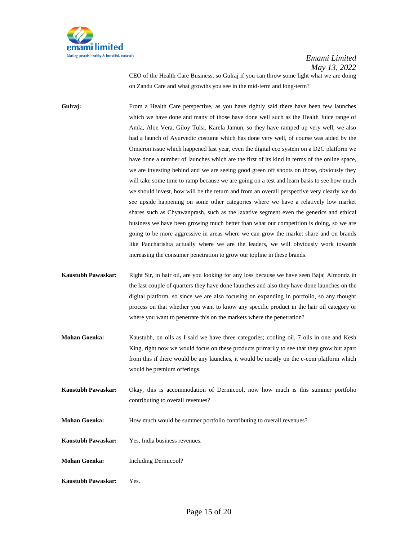

CEO of the Health Care Business, so Gulraj if you can throw some light what we are doing on Zandu Care and what growths you see in the mid-term and long-term?

Gulraj: From a Health Care perspective, as you have rightly said there have been few launches which we have done and many of those have done well such as the Health Juice range of Amla, Aloe Vera, Giloy Tulsi, Karela Jamun, so they have ramped up very well, we also had a launch of Ayurvedic costume which has done very well, of course was aided by the Omicron issue which happened last year, even the digital eco system on a D2C platform we have done a number of launches which are the first of its kind in terms of the online space, we are investing behind and we are seeing good green off shoots on those, obviously they will take some time to ramp because we are going on a test and learn basis to see how much we should invest, how will be the return and from an overall perspective very clearly we do see upside happening on some other categories where we have a relatively low market shares such as Chyawanprash, such as the laxative segment even the generics and ethical business we have been growing much better than what our competition is doing, so we are going to be more aggressive in areas where we can grow the market share and on brands like Pancharishta actually where we are the leaders, we will obviously work towards increasing the consumer penetration to grow our topline in these brands.

- **Kaustubh Pawaskar:** Right Sir, in hair oil, are you looking for any loss because we have seen Bajaj Almondz in the last couple of quarters they have done launches and also they have done launches on the digital platform, so since we are also focusing on expanding in portfolio, so any thought process on that whether you want to know any specific product in the hair oil category or where you want to penetrate this on the markets where the penetration?
- **Mohan Goenka:** Kaustubh, on oils as I said we have three categories; cooling oil, 7 oils in one and Kesh King, right now we would focus on these products primarily to see that they grow but apart from this if there would be any launches, it would be mostly on the e-com platform which would be premium offerings.
- **Kaustubh Pawaskar:** Okay, this is accommodation of Dermicool, now how much is this summer portfolio contributing to overall revenues?
- **Mohan Goenka:** How much would be summer portfolio contributing to overall revenues?
- **Kaustubh Pawaskar:** Yes, India business revenues.
- **Mohan Goenka:** Including Dermicool?
- **Kaustubh Pawaskar:** Yes.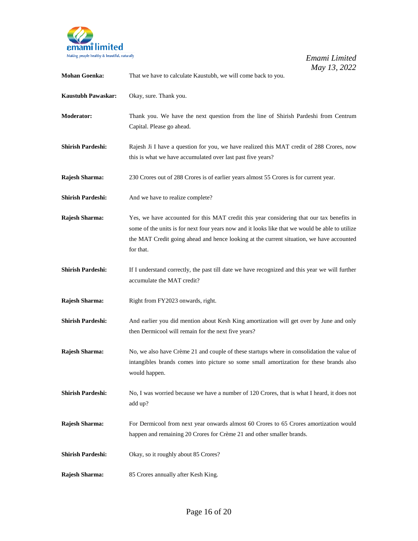

| <b>Mohan Goenka:</b>      | That we have to calculate Kaustubh, we will come back to you.                                                                                                                                                                                                                                         |
|---------------------------|-------------------------------------------------------------------------------------------------------------------------------------------------------------------------------------------------------------------------------------------------------------------------------------------------------|
| <b>Kaustubh Pawaskar:</b> | Okay, sure. Thank you.                                                                                                                                                                                                                                                                                |
| <b>Moderator:</b>         | Thank you. We have the next question from the line of Shirish Pardeshi from Centrum<br>Capital. Please go ahead.                                                                                                                                                                                      |
| <b>Shirish Pardeshi:</b>  | Rajesh Ji I have a question for you, we have realized this MAT credit of 288 Crores, now<br>this is what we have accumulated over last past five years?                                                                                                                                               |
| <b>Rajesh Sharma:</b>     | 230 Crores out of 288 Crores is of earlier years almost 55 Crores is for current year.                                                                                                                                                                                                                |
| <b>Shirish Pardeshi:</b>  | And we have to realize complete?                                                                                                                                                                                                                                                                      |
| Rajesh Sharma:            | Yes, we have accounted for this MAT credit this year considering that our tax benefits in<br>some of the units is for next four years now and it looks like that we would be able to utilize<br>the MAT Credit going ahead and hence looking at the current situation, we have accounted<br>for that. |
| <b>Shirish Pardeshi:</b>  | If I understand correctly, the past till date we have recognized and this year we will further<br>accumulate the MAT credit?                                                                                                                                                                          |
| Rajesh Sharma:            | Right from FY2023 onwards, right.                                                                                                                                                                                                                                                                     |
| <b>Shirish Pardeshi:</b>  | And earlier you did mention about Kesh King amortization will get over by June and only<br>then Dermicool will remain for the next five years?                                                                                                                                                        |
| Rajesh Sharma:            | No, we also have Crème 21 and couple of these startups where in consolidation the value of<br>intangibles brands comes into picture so some small amortization for these brands also<br>would happen.                                                                                                 |
| <b>Shirish Pardeshi:</b>  | No, I was worried because we have a number of 120 Crores, that is what I heard, it does not<br>add up?                                                                                                                                                                                                |
| Rajesh Sharma:            | For Dermicool from next year onwards almost 60 Crores to 65 Crores amortization would<br>happen and remaining 20 Crores for Crème 21 and other smaller brands.                                                                                                                                        |
| <b>Shirish Pardeshi:</b>  | Okay, so it roughly about 85 Crores?                                                                                                                                                                                                                                                                  |
| Rajesh Sharma:            | 85 Crores annually after Kesh King.                                                                                                                                                                                                                                                                   |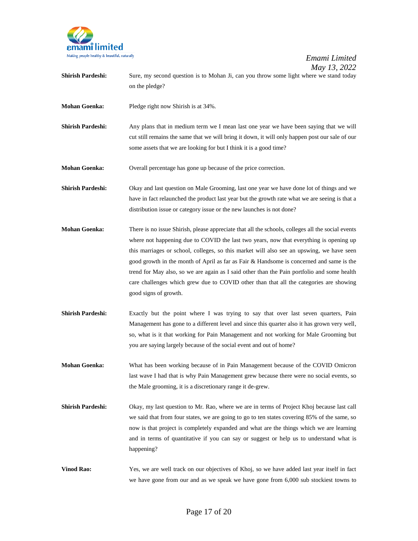

- **Shirish Pardeshi:** Sure, my second question is to Mohan Ji, can you throw some light where we stand today on the pledge?
- **Mohan Goenka:** Pledge right now Shirish is at 34%.
- **Shirish Pardeshi:** Any plans that in medium term we I mean last one year we have been saying that we will cut still remains the same that we will bring it down, it will only happen post our sale of our some assets that we are looking for but I think it is a good time?

**Mohan Goenka:** Overall percentage has gone up because of the price correction.

- **Shirish Pardeshi:** Okay and last question on Male Grooming, last one year we have done lot of things and we have in fact relaunched the product last year but the growth rate what we are seeing is that a distribution issue or category issue or the new launches is not done?
- **Mohan Goenka:** There is no issue Shirish, please appreciate that all the schools, colleges all the social events where not happening due to COVID the last two years, now that everything is opening up this marriages or school, colleges, so this market will also see an upswing, we have seen good growth in the month of April as far as Fair & Handsome is concerned and same is the trend for May also, so we are again as I said other than the Pain portfolio and some health care challenges which grew due to COVID other than that all the categories are showing good signs of growth.
- **Shirish Pardeshi:** Exactly but the point where I was trying to say that over last seven quarters, Pain Management has gone to a different level and since this quarter also it has grown very well, so, what is it that working for Pain Management and not working for Male Grooming but you are saying largely because of the social event and out of home?
- **Mohan Goenka:** What has been working because of in Pain Management because of the COVID Omicron last wave I had that is why Pain Management grew because there were no social events, so the Male grooming, it is a discretionary range it de-grew.
- **Shirish Pardeshi:** Okay, my last question to Mr. Rao, where we are in terms of Project Khoj because last call we said that from four states, we are going to go to ten states covering 85% of the same, so now is that project is completely expanded and what are the things which we are learning and in terms of quantitative if you can say or suggest or help us to understand what is happening?
- **Vinod Rao:** Yes, we are well track on our objectives of Khoj, so we have added last year itself in fact we have gone from our and as we speak we have gone from 6,000 sub stockiest towns to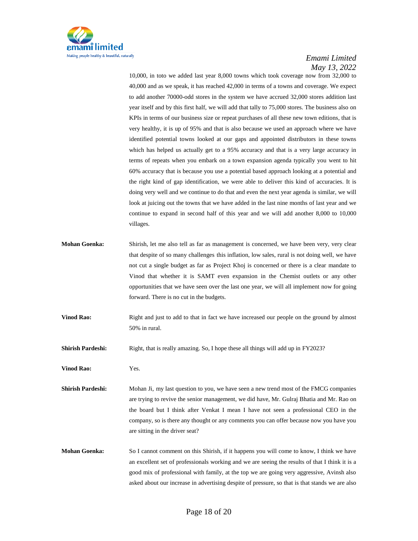

10,000, in toto we added last year 8,000 towns which took coverage now from 32,000 to 40,000 and as we speak, it has reached 42,000 in terms of a towns and coverage. We expect to add another 70000-odd stores in the system we have accrued 32,000 stores addition last year itself and by this first half, we will add that tally to 75,000 stores. The business also on KPIs in terms of our business size or repeat purchases of all these new town editions, that is very healthy, it is up of 95% and that is also because we used an approach where we have identified potential towns looked at our gaps and appointed distributors in these towns which has helped us actually get to a 95% accuracy and that is a very large accuracy in terms of repeats when you embark on a town expansion agenda typically you went to hit 60% accuracy that is because you use a potential based approach looking at a potential and the right kind of gap identification, we were able to deliver this kind of accuracies. It is doing very well and we continue to do that and even the next year agenda is similar, we will look at juicing out the towns that we have added in the last nine months of last year and we continue to expand in second half of this year and we will add another 8,000 to 10,000 villages.

- **Mohan Goenka:** Shirish, let me also tell as far as management is concerned, we have been very, very clear that despite of so many challenges this inflation, low sales, rural is not doing well, we have not cut a single budget as far as Project Khoj is concerned or there is a clear mandate to Vinod that whether it is SAMT even expansion in the Chemist outlets or any other opportunities that we have seen over the last one year, we will all implement now for going forward. There is no cut in the budgets.
- **Vinod Rao:** Right and just to add to that in fact we have increased our people on the ground by almost 50% in rural.
- **Shirish Pardeshi:** Right, that is really amazing. So, I hope these all things will add up in FY2023?
- **Vinod Rao:** Yes.
- **Shirish Pardeshi:** Mohan Ji, my last question to you, we have seen a new trend most of the FMCG companies are trying to revive the senior management, we did have, Mr. Gulraj Bhatia and Mr. Rao on the board but I think after Venkat I mean I have not seen a professional CEO in the company, so is there any thought or any comments you can offer because now you have you are sitting in the driver seat?
- **Mohan Goenka:** So I cannot comment on this Shirish, if it happens you will come to know, I think we have an excellent set of professionals working and we are seeing the results of that I think it is a good mix of professional with family, at the top we are going very aggressive, Avinsh also asked about our increase in advertising despite of pressure, so that is that stands we are also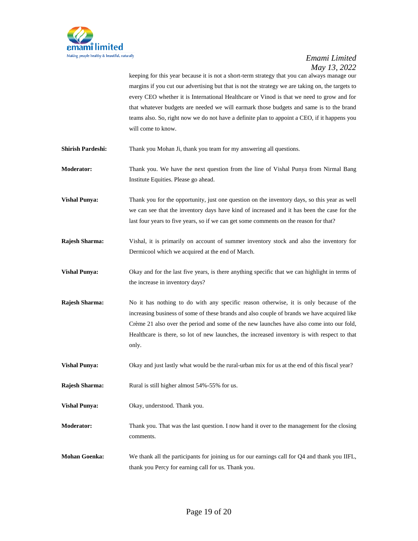

keeping for this year because it is not a short-term strategy that you can always manage our margins if you cut our advertising but that is not the strategy we are taking on, the targets to every CEO whether it is International Healthcare or Vinod is that we need to grow and for that whatever budgets are needed we will earmark those budgets and same is to the brand teams also. So, right now we do not have a definite plan to appoint a CEO, if it happens you will come to know.

**Shirish Pardeshi:** Thank you Mohan Ji, thank you team for my answering all questions.

- **Moderator:** Thank you. We have the next question from the line of Vishal Punya from Nirmal Bang Institute Equities. Please go ahead.
- **Vishal Punya:** Thank you for the opportunity, just one question on the inventory days, so this year as well we can see that the inventory days have kind of increased and it has been the case for the last four years to five years, so if we can get some comments on the reason for that?
- **Rajesh Sharma:** Vishal, it is primarily on account of summer inventory stock and also the inventory for Dermicool which we acquired at the end of March.
- **Vishal Punya:** Okay and for the last five years, is there anything specific that we can highlight in terms of the increase in inventory days?
- **Rajesh Sharma:** No it has nothing to do with any specific reason otherwise, it is only because of the increasing business of some of these brands and also couple of brands we have acquired like Crème 21 also over the period and some of the new launches have also come into our fold, Healthcare is there, so lot of new launches, the increased inventory is with respect to that only.
- **Vishal Punya:** Okay and just lastly what would be the rural-urban mix for us at the end of this fiscal year?
- **Rajesh Sharma:** Rural is still higher almost 54%-55% for us.
- **Vishal Punya:** Okay, understood. Thank you.
- **Moderator:** Thank you. That was the last question. I now hand it over to the management for the closing comments.
- **Mohan Goenka:** We thank all the participants for joining us for our earnings call for Q4 and thank you IIFL, thank you Percy for earning call for us. Thank you.